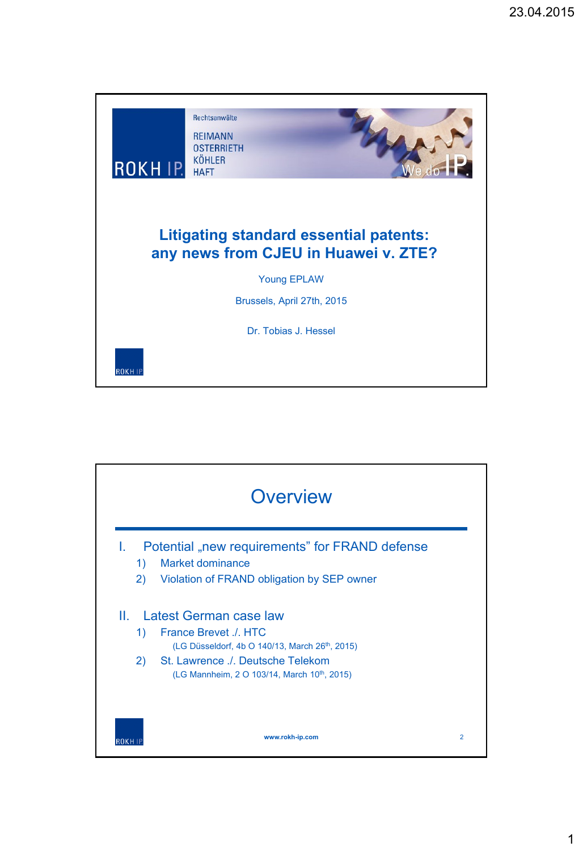

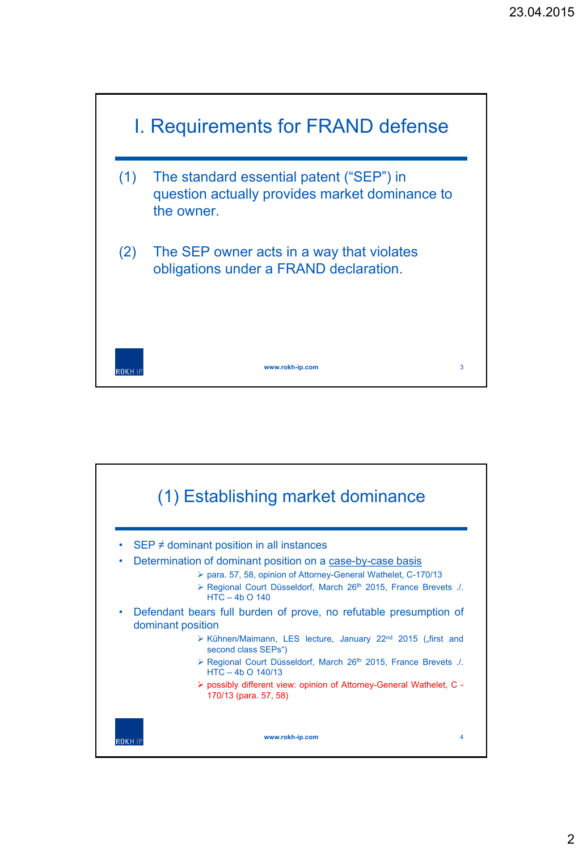

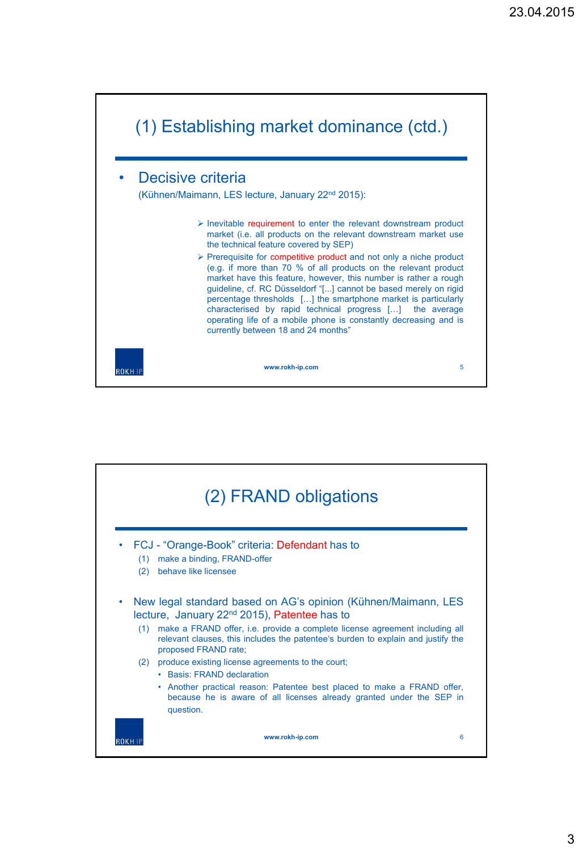

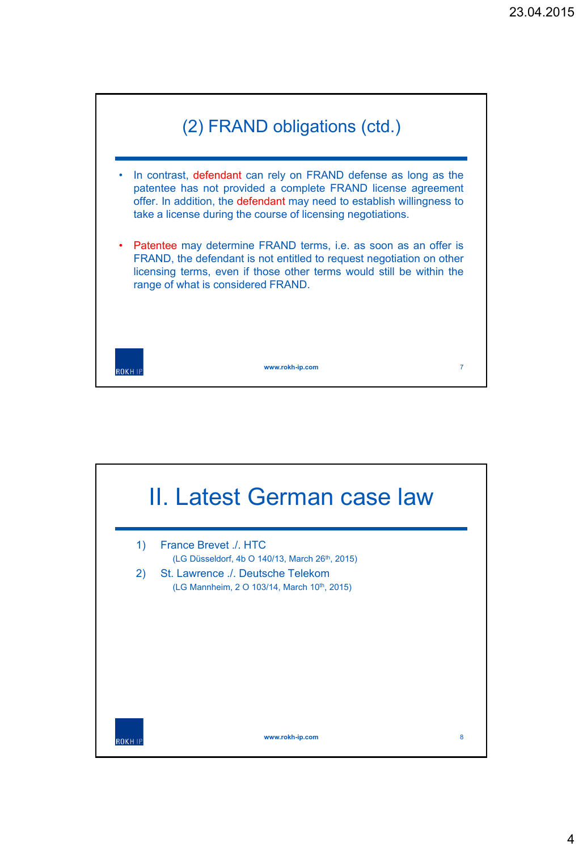

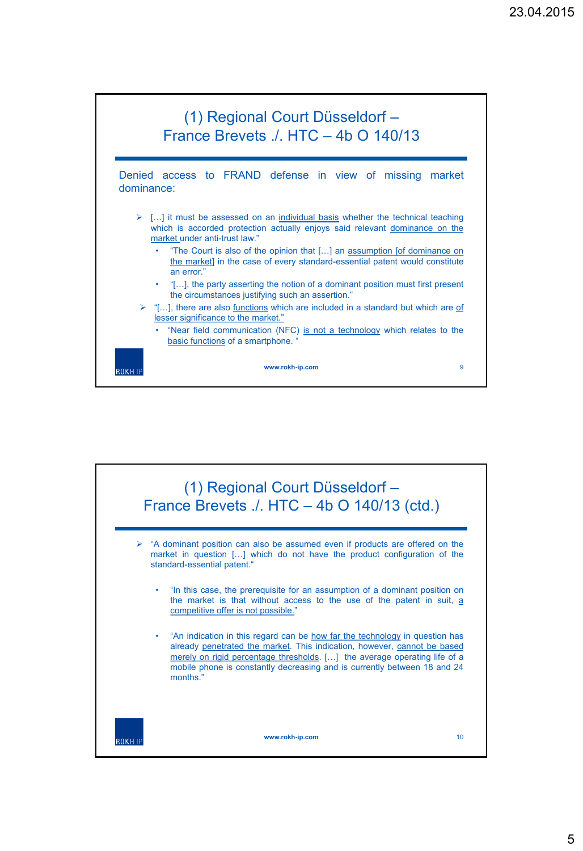